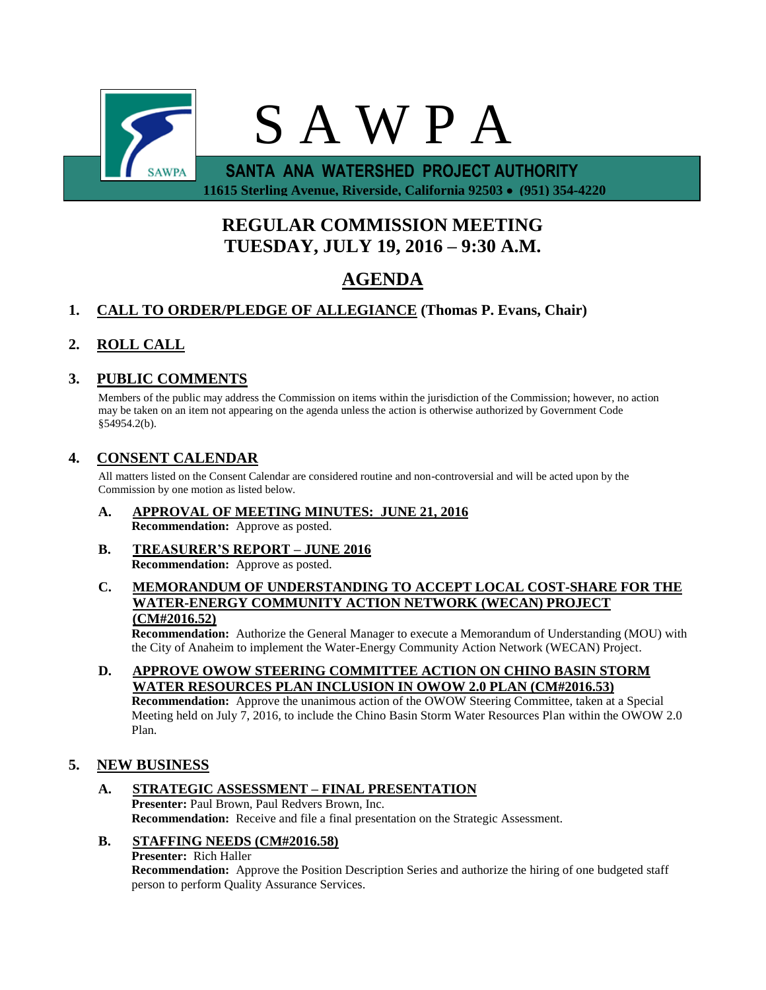

 **11615 Sterling Avenue, Riverside, California 92503 (951) 354-4220**

# **REGULAR COMMISSION MEETING TUESDAY, JULY 19, 2016 – 9:30 A.M.**

# **AGENDA**

# **1. CALL TO ORDER/PLEDGE OF ALLEGIANCE (Thomas P. Evans, Chair)**

# **2. ROLL CALL**

## **3. PUBLIC COMMENTS**

Members of the public may address the Commission on items within the jurisdiction of the Commission; however, no action may be taken on an item not appearing on the agenda unless the action is otherwise authorized by Government Code §54954.2(b).

## **4. CONSENT CALENDAR**

All matters listed on the Consent Calendar are considered routine and non-controversial and will be acted upon by the Commission by one motion as listed below.

- **A. APPROVAL OF MEETING MINUTES: JUNE 21, 2016 Recommendation:** Approve as posted.
- **B. TREASURER'S REPORT – JUNE 2016 Recommendation:** Approve as posted.
- **C. MEMORANDUM OF UNDERSTANDING TO ACCEPT LOCAL COST-SHARE FOR THE WATER-ENERGY COMMUNITY ACTION NETWORK (WECAN) PROJECT (CM#2016.52)**

**Recommendation:** Authorize the General Manager to execute a Memorandum of Understanding (MOU) with the City of Anaheim to implement the Water-Energy Community Action Network (WECAN) Project.

**D. APPROVE OWOW STEERING COMMITTEE ACTION ON CHINO BASIN STORM WATER RESOURCES PLAN INCLUSION IN OWOW 2.0 PLAN (CM#2016.53) Recommendation:** Approve the unanimous action of the OWOW Steering Committee, taken at a Special Meeting held on July 7, 2016, to include the Chino Basin Storm Water Resources Plan within the OWOW 2.0 Plan.

### **5. NEW BUSINESS**

- **A. STRATEGIC ASSESSMENT – FINAL PRESENTATION Presenter:** Paul Brown, Paul Redvers Brown, Inc. **Recommendation:** Receive and file a final presentation on the Strategic Assessment.
- **B. STAFFING NEEDS (CM#2016.58)**

**Presenter:** Rich Haller

**Recommendation:** Approve the Position Description Series and authorize the hiring of one budgeted staff person to perform Quality Assurance Services.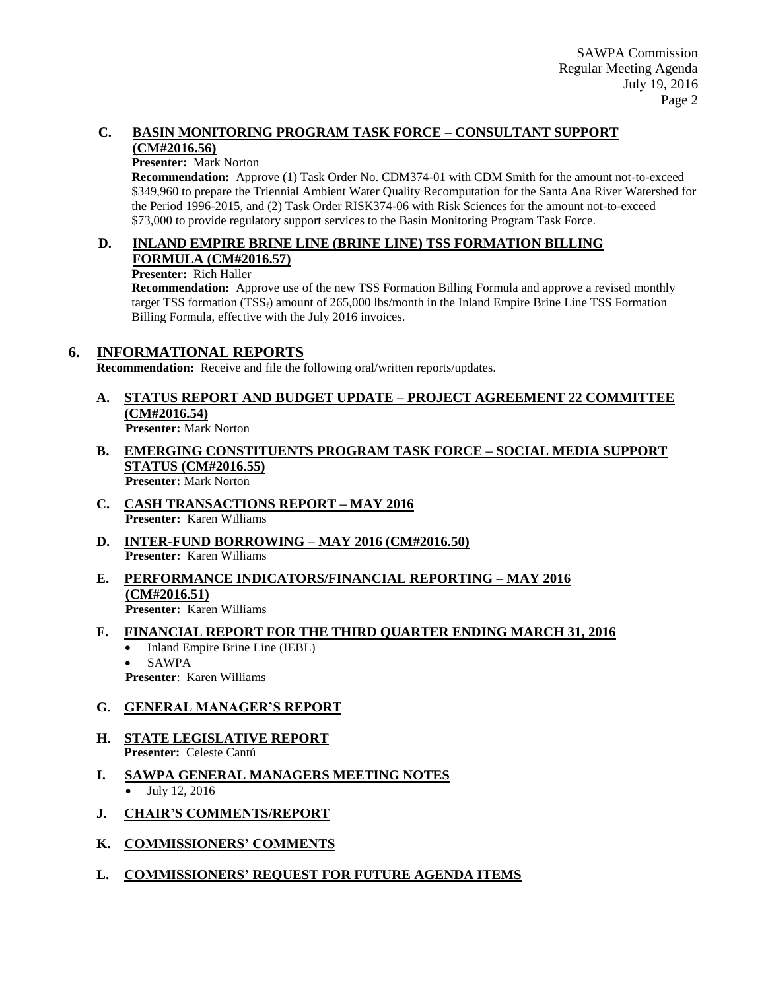#### **C. BASIN MONITORING PROGRAM TASK FORCE – CONSULTANT SUPPORT (CM#2016.56)**

#### **Presenter:** Mark Norton

**Recommendation:** Approve (1) Task Order No. CDM374-01 with CDM Smith for the amount not-to-exceed \$349,960 to prepare the Triennial Ambient Water Quality Recomputation for the Santa Ana River Watershed for the Period 1996-2015, and (2) Task Order RISK374-06 with Risk Sciences for the amount not-to-exceed \$73,000 to provide regulatory support services to the Basin Monitoring Program Task Force.

#### **D. INLAND EMPIRE BRINE LINE (BRINE LINE) TSS FORMATION BILLING FORMULA (CM#2016.57)**

#### **Presenter:** Rich Haller

**Recommendation:** Approve use of the new TSS Formation Billing Formula and approve a revised monthly target TSS formation  $(TSS_f)$  amount of 265,000 lbs/month in the Inland Empire Brine Line TSS Formation Billing Formula, effective with the July 2016 invoices.

### **6. INFORMATIONAL REPORTS**

**Recommendation:** Receive and file the following oral/written reports/updates.

## **A. STATUS REPORT AND BUDGET UPDATE – PROJECT AGREEMENT 22 COMMITTEE (CM#2016.54)**

**Presenter:** Mark Norton

- **B. EMERGING CONSTITUENTS PROGRAM TASK FORCE – SOCIAL MEDIA SUPPORT STATUS (CM#2016.55) Presenter:** Mark Norton
- **C. CASH TRANSACTIONS REPORT – MAY 2016 Presenter:** Karen Williams
- **D. INTER-FUND BORROWING – MAY 2016 (CM#2016.50) Presenter:** Karen Williams
- **E. PERFORMANCE INDICATORS/FINANCIAL REPORTING – MAY 2016 (CM#2016.51) Presenter:** Karen Williams

### **F. FINANCIAL REPORT FOR THE THIRD QUARTER ENDING MARCH 31, 2016**

- Inland Empire Brine Line (IEBL)
- SAWPA

**Presenter**: Karen Williams

### **G. GENERAL MANAGER'S REPORT**

- **H. STATE LEGISLATIVE REPORT Presenter:** Celeste Cantú
- **I. SAWPA GENERAL MANAGERS MEETING NOTES** • July 12, 2016
- **J. CHAIR'S COMMENTS/REPORT**
- **K. COMMISSIONERS' COMMENTS**
- **L. COMMISSIONERS' REQUEST FOR FUTURE AGENDA ITEMS**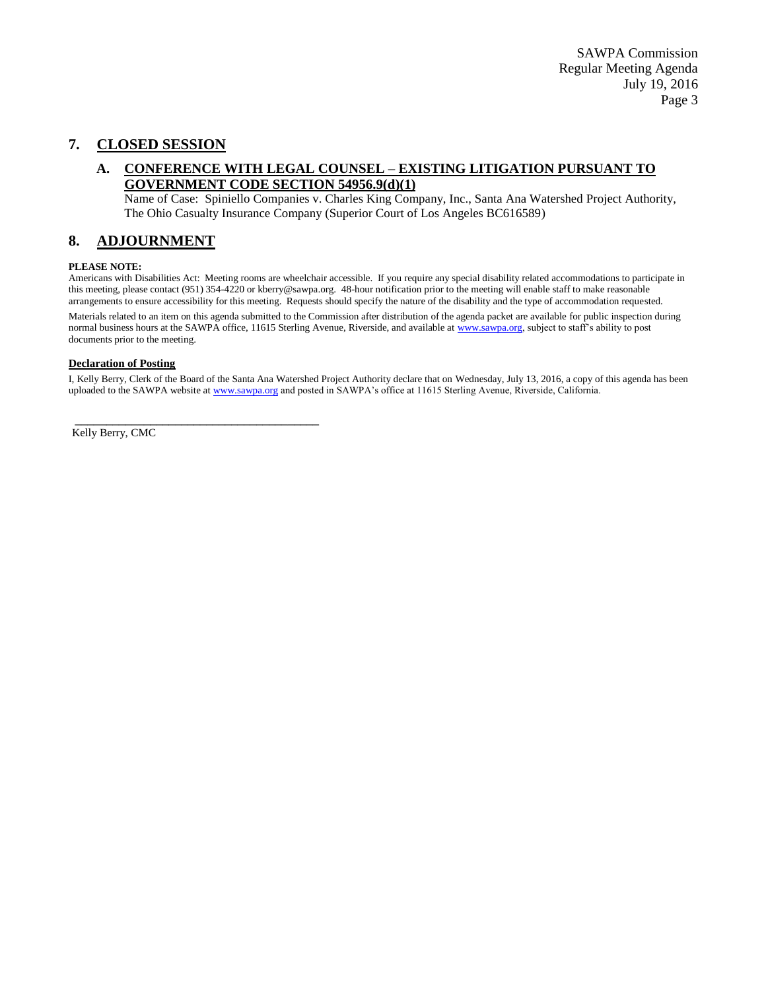## **7. CLOSED SESSION**

#### **A. CONFERENCE WITH LEGAL COUNSEL – EXISTING LITIGATION PURSUANT TO GOVERNMENT CODE SECTION 54956.9(d)(1)**

Name of Case: Spiniello Companies v. Charles King Company, Inc., Santa Ana Watershed Project Authority, The Ohio Casualty Insurance Company (Superior Court of Los Angeles BC616589)

#### **8. ADJOURNMENT**

#### **PLEASE NOTE:**

Americans with Disabilities Act: Meeting rooms are wheelchair accessible. If you require any special disability related accommodations to participate in this meeting, please contact (951) 354-4220 or kberry@sawpa.org. 48-hour notification prior to the meeting will enable staff to make reasonable arrangements to ensure accessibility for this meeting. Requests should specify the nature of the disability and the type of accommodation requested.

Materials related to an item on this agenda submitted to the Commission after distribution of the agenda packet are available for public inspection during normal business hours at the SAWPA office, 11615 Sterling Avenue, Riverside, and available a[t www.sawpa.org,](http://www.sawpa.org/) subject to staff's ability to post documents prior to the meeting.

#### **Declaration of Posting**

\_\_\_\_\_\_\_\_\_\_\_\_\_\_\_\_\_\_\_\_\_\_\_\_\_\_\_\_\_\_\_\_\_\_\_\_\_\_\_

I, Kelly Berry, Clerk of the Board of the Santa Ana Watershed Project Authority declare that on Wednesday, July 13, 2016, a copy of this agenda has been uploaded to the SAWPA website a[t www.sawpa.org](http://www.sawpa.org/) and posted in SAWPA's office at 11615 Sterling Avenue, Riverside, California.

Kelly Berry, CMC